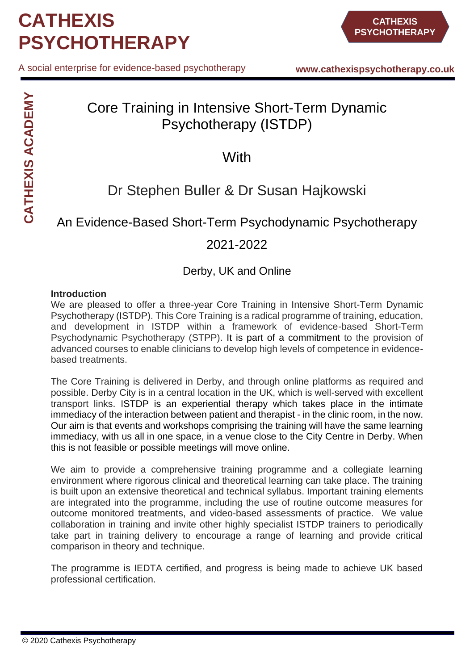A social enterprise for evidence-based psychotherapy

# Core Training in Intensive Short-Term Dynamic Psychotherapy (ISTDP)

## **With**

## Dr Stephen Buller & Dr Susan Hajkowski

## An Evidence-Based Short-Term Psychodynamic Psychotherapy

## 2021-2022

### Derby, UK and Online

#### **Introduction**

We are pleased to offer a three-year Core Training in Intensive Short-Term Dynamic Psychotherapy (ISTDP). This Core Training is a radical programme of training, education, and development in ISTDP within a framework of evidence-based Short-Term Psychodynamic Psychotherapy (STPP). It is part of a commitment to the provision of advanced courses to enable clinicians to develop high levels of competence in evidencebased treatments.

The Core Training is delivered in Derby, and through online platforms as required and possible. Derby City is in a central location in the UK, which is well-served with excellent transport links. ISTDP is an experiential therapy which takes place in the intimate immediacy of the interaction between patient and therapist - in the clinic room, in the now. Our aim is that events and workshops comprising the training will have the same learning immediacy, with us all in one space, in a venue close to the City Centre in Derby. When this is not feasible or possible meetings will move online.

We aim to provide a comprehensive training programme and a collegiate learning environment where rigorous clinical and theoretical learning can take place. The training is built upon an extensive theoretical and technical syllabus. Important training elements are integrated into the programme, including the use of routine outcome measures for outcome monitored treatments, and video-based assessments of practice. We value collaboration in training and invite other highly specialist ISTDP trainers to periodically take part in training delivery to encourage a range of learning and provide critical comparison in theory and technique.

The programme is IEDTA certified, and progress is being made to achieve UK based professional certification.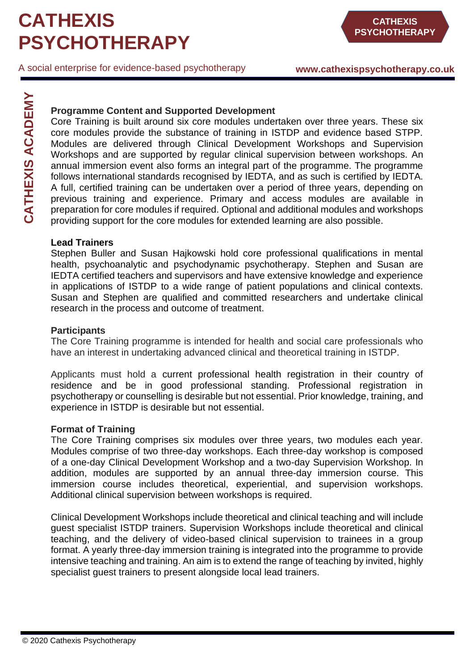**www.cathexispsychotherapy.co.uk**

**CATHEXIS ACADEMY CATHEXIS ACADEMY**

#### **Programme Content and Supported Development**

Core Training is built around six core modules undertaken over three years. These six core modules provide the substance of training in ISTDP and evidence based STPP. Modules are delivered through Clinical Development Workshops and Supervision Workshops and are supported by regular clinical supervision between workshops. An annual immersion event also forms an integral part of the programme. The programme follows international standards recognised by IEDTA, and as such is certified by IEDTA. A full, certified training can be undertaken over a period of three years, depending on previous training and experience. Primary and access modules are available in preparation for core modules if required. Optional and additional modules and workshops providing support for the core modules for extended learning are also possible.

#### **Lead Trainers**

Stephen Buller and Susan Hajkowski hold core professional qualifications in mental health, psychoanalytic and psychodynamic psychotherapy. Stephen and Susan are IEDTA certified teachers and supervisors and have extensive knowledge and experience in applications of ISTDP to a wide range of patient populations and clinical contexts. Susan and Stephen are qualified and committed researchers and undertake clinical research in the process and outcome of treatment.

#### **Participants**

The Core Training programme is intended for health and social care professionals who have an interest in undertaking advanced clinical and theoretical training in ISTDP.

Applicants must hold a current professional health registration in their country of residence and be in good professional standing. Professional registration in psychotherapy or counselling is desirable but not essential. Prior knowledge, training, and experience in ISTDP is desirable but not essential.

#### **Format of Training**

The Core Training comprises six modules over three years, two modules each year. Modules comprise of two three-day workshops. Each three-day workshop is composed of a one-day Clinical Development Workshop and a two-day Supervision Workshop. In addition, modules are supported by an annual three-day immersion course. This immersion course includes theoretical, experiential, and supervision workshops. Additional clinical supervision between workshops is required.

Clinical Development Workshops include theoretical and clinical teaching and will include guest specialist ISTDP trainers. Supervision Workshops include theoretical and clinical teaching, and the delivery of video-based clinical supervision to trainees in a group format. A yearly three-day immersion training is integrated into the programme to provide intensive teaching and training. An aim is to extend the range of teaching by invited, highly specialist quest trainers to present alongside local lead trainers.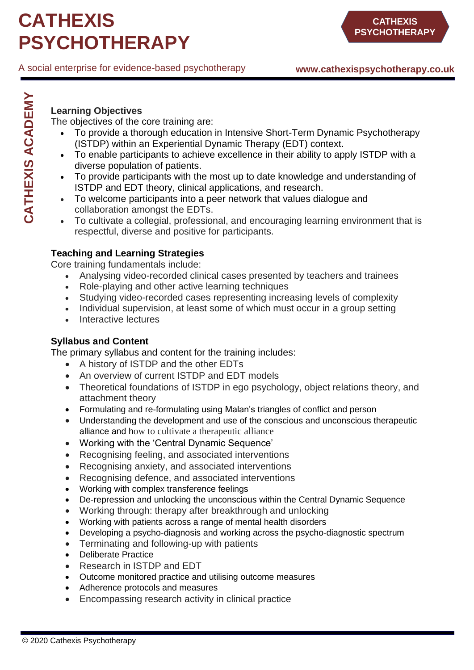### **Learning Objectives**

**CATHEXIS ACADEMY**

**CATHEXIS ACADEMY** 

The objectives of the core training are:

- To provide a thorough education in Intensive Short-Term Dynamic Psychotherapy (ISTDP) within an Experiential Dynamic Therapy (EDT) context.
- To enable participants to achieve excellence in their ability to apply ISTDP with a diverse population of patients.
- To provide participants with the most up to date knowledge and understanding of ISTDP and EDT theory, clinical applications, and research.
- To welcome participants into a peer network that values dialogue and collaboration amongst the EDTs.
- To cultivate a collegial, professional, and encouraging learning environment that is respectful, diverse and positive for participants.

### **Teaching and Learning Strategies**

Core training fundamentals include:

- Analysing video-recorded clinical cases presented by teachers and trainees
- Role-playing and other active learning techniques
- Studying video-recorded cases representing increasing levels of complexity
- Individual supervision, at least some of which must occur in a group setting
- Interactive lectures

### **Syllabus and Content**

The primary syllabus and content for the training includes:

- A history of ISTDP and the other EDTs
- An overview of current ISTDP and EDT models
- Theoretical foundations of ISTDP in ego psychology, object relations theory, and attachment theory
- Formulating and re-formulating using Malan's triangles of conflict and person
- Understanding the development and use of the conscious and unconscious therapeutic alliance and how to cultivate a therapeutic alliance
- Working with the 'Central Dynamic Sequence'
- Recognising feeling, and associated interventions
- Recognising anxiety, and associated interventions
- Recognising defence, and associated interventions
- Working with complex transference feelings
- De-repression and unlocking the unconscious within the Central Dynamic Sequence
- Working through: therapy after breakthrough and unlocking
- Working with patients across a range of mental health disorders
- Developing a psycho-diagnosis and working across the psycho-diagnostic spectrum
- Terminating and following-up with patients
- Deliberate Practice
- Research in ISTDP and EDT
- Outcome monitored practice and utilising outcome measures
- Adherence protocols and measures
- Encompassing research activity in clinical practice